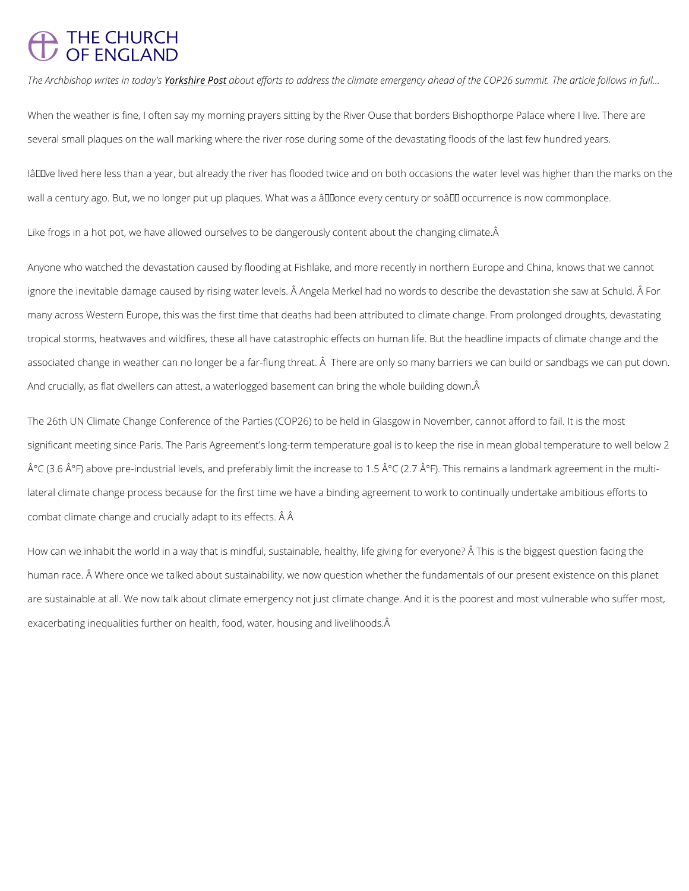## **THE CHURCH OF ENGLAND**

The Archbishop writes in this that  $\theta$  as the fforts to address the climate emergency ahead of the COI

When the weather is fine, I often say my morning prayers sitting by the River Ouse that bord several small plaques on the wall marking where the river rose during some of the devastatir

I've lived here less than a year, but already the river has flooded twice and on both occa wall a century ago. But, we no longer put up plaques. What was a â€~once every century or s

Like frogs in a hot pot, we have allowed ourselves to be dangerously content about the chang

Anyone who watched the devastation caused by flooding at Fishlake, and more recently in no ignore the inevitable damage caused by rising water levels. Â Angela Merkel had no words to many across Western Europe, this was the first time that deaths had been attributed to clima tropical storms, heatwaves and wildfires, these all have catastrophic effects on human life. I associated change in weather can no longer be a far-flung threat. A There are only so many And crucially, as flat dwellers can attest, a waterlogged basement can bring the whole buildi

The 26th UN Climate Change Conference of the Parties (COP26) to be held in Glasgow in Nov significant meeting since Paris. The Paris Agreement's long-term temperature goal is to keep  $\rm \AA^{\circ}C$  (3.6  $\rm \AA^{\circ}F$ ) above pre-industrial levels, and preferably limit the increase to 1.5  $\rm \AA^{\circ}C$  (2.7  $\rm \AA$ lateral climate change process because for the first time we have a binding agreement to wo combat climate change and crucially adapt to its effects. Â Â

How can we inhabit the world in a way that is mindful, sustainable, healthy, life giving for ev human race.  $\rm \AA$  Where once we talked about sustainability, we now question whether the funda are sustainable at all. We now talk about climate emergency not just climate change. And it exacerbating inequalities further on health, food, water, housing and livelihoods.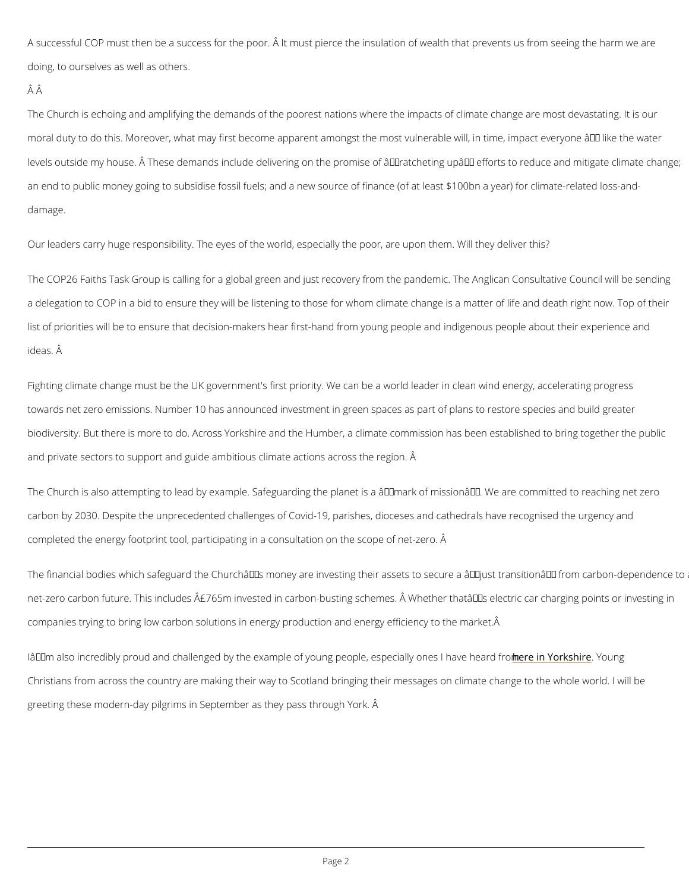A successful COP must then be a success for the poor. A It must pierce the insulation of wea doing, to ourselves as well as others.

## ÂÂ

The Church is echoing and amplifying the demands of the poorest nations where the impacts moral duty to do this. Moreover, what may first become apparent amongst the most vulnerabl levels outside my house.  $\hat{\mathsf{A}}$  These demands include delivering on the promise of  $\hat{\mathsf{a}} \in \mathsf{ce}$ ratchetir an end to public money going to subsidise fossil fuels; and a new source of finance (of at le damage.

Our leaders carry huge responsibility. The eyes of the world, especially the poor, are upon t

The COP26 Faiths Task Group is calling for a global green and just recovery from the pander a delegation to COP in a bid to ensure they will be listening to those for whom climate chang list of priorities will be to ensure that decision-makers hear first-hand from young people an ideas. Â

Fighting climate change must be the UK government's first priority. We can be a world leader towards net zero emissions. Number 10 has announced investment in green spaces as part of biodiversity. But there is more to do. Across Yorkshire and the Humber, a climate commissio and private sectors to support and guide ambitious climate actions across the region. Â

The Church is also attempting to lead by example. Safeguarding the planet is a  $\hat{a} \in \infty$  mark of  $\textsf{I}$ carbon by 2030. Despite the unprecedented challenges of Covid-19, parishes, dioceses and c completed the energy footprint tool, participating in a consultation on the scope of net-zero.

The financial bodies which safeguard the Churchâ $\in$   $\mathbb {M}$ s money are investing their assets to se net-zero carbon future. This includes  $\hat{A}E765m$  invested in carbon-busting schemes.  $\hat{A}$  Whethe companies trying to bring low carbon solutions in energy production and energy efficiency to

I'm also incredibly proud and challenged by the example of youngh peneeophleY cerskpsYehociumenly ones

Christians from across the country are making their way to Scotland bringing their messages

greeting these modern-day pilgrims in September as they pass through York. Â